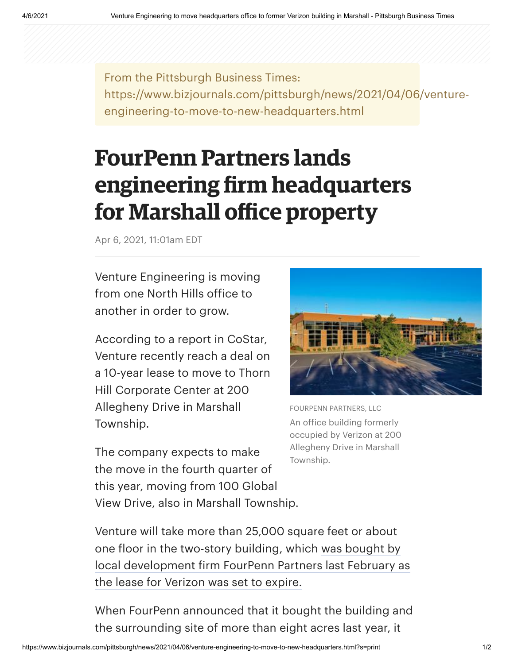From the Pittsburgh Business Times: https://www.bizjournals.com/pittsburgh/news/2021/04/06/ventureengineering-to-move-to-new-headquarters.html

## **FourPenn Partners lands engineering firm headquarters for Marshall office property**

Apr 6, 2021, 11:01am EDT

Venture Engineering is moving from one North Hills office to another in order to grow.

According to a report in CoStar, Venture recently reach a deal on a 10-year lease to move to Thorn Hill Corporate Center at 200 Allegheny Drive in Marshall Township.

The company expects to make the move in the fourth quarter of this year, moving from 100 Global View Drive, also in Marshall Township.



FOURPENN PARTNERS, LLC An office building formerly occupied by Verizon at 200 Allegheny Drive in Marshall Township.

Venture will take more than 25,000 square feet or about one floor in the two-story building, which was bought by [local development firm FourPenn Partners last February as](https://www.bizjournals.com/pittsburgh/news/2020/02/11/fourpenn-partners-llc-buys-former-verizon-building.html) the lease for Verizon was set to expire.

When FourPenn announced that it bought the building and the surrounding site of more than eight acres last year, it